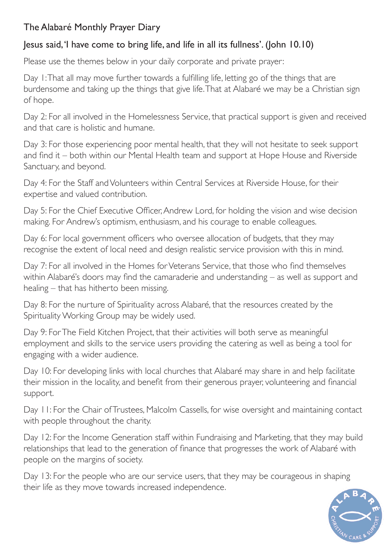## The Alabaré Monthly Prayer Diary

## Jesus said, 'I have come to bring life, and life in all its fullness'. (John 10.10)

Please use the themes below in your daily corporate and private prayer:

Day 1: That all may move further towards a fulfilling life, letting go of the things that are burdensome and taking up the things that give life. That at Alabaré we may be a Christian sign of hope.

Day 2: For all involved in the Homelessness Service, that practical support is given and received and that care is holistic and humane.

Day 3: For those experiencing poor mental health, that they will not hesitate to seek support and find it – both within our Mental Health team and support at Hope House and Riverside Sanctuary, and beyond.

Day 4: For the Staff and Volunteers within Central Services at Riverside House, for their expertise and valued contribution.

Day 5: For the Chief Executive Officer, Andrew Lord, for holding the vision and wise decision making. For Andrew's optimism, enthusiasm, and his courage to enable colleagues.

Day 6: For local government officers who oversee allocation of budgets, that they may recognise the extent of local need and design realistic service provision with this in mind.

Day 7: For all involved in the Homes for Veterans Service, that those who find themselves within Alabaré's doors may find the camaraderie and understanding – as well as support and healing – that has hitherto been missing.

Day 8: For the nurture of Spirituality across Alabaré, that the resources created by the Spirituality Working Group may be widely used.

Day 9: For The Field Kitchen Project, that their activities will both serve as meaningful employment and skills to the service users providing the catering as well as being a tool for engaging with a wider audience.

Day 10: For developing links with local churches that Alabaré may share in and help facilitate their mission in the locality, and benefit from their generous prayer, volunteering and financial support.

Day 11: For the Chair of Trustees, Malcolm Cassells, for wise oversight and maintaining contact with people throughout the charity.

Day 12: For the Income Generation staff within Fundraising and Marketing, that they may build relationships that lead to the generation of finance that progresses the work of Alabaré with people on the margins of society.

Day 13: For the people who are our service users, that they may be courageous in shaping their life as they move towards increased independence.